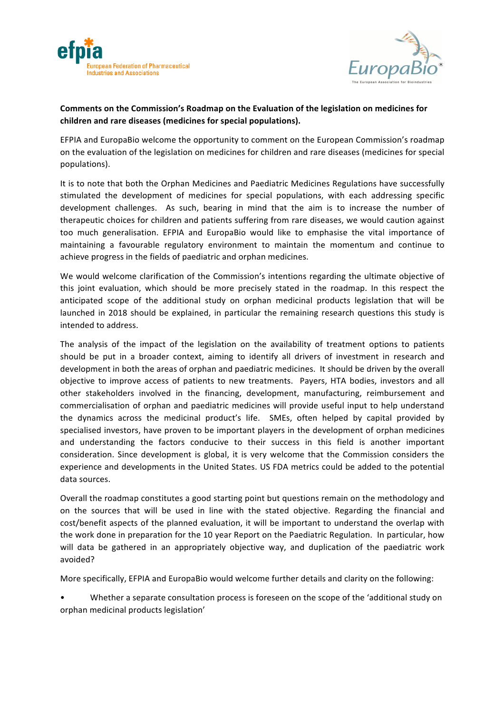



## Comments on the Commission's Roadmap on the Evaluation of the legislation on medicines for children and rare diseases (medicines for special populations).

EFPIA and EuropaBio welcome the opportunity to comment on the European Commission's roadmap on the evaluation of the legislation on medicines for children and rare diseases (medicines for special populations). 

It is to note that both the Orphan Medicines and Paediatric Medicines Regulations have successfully stimulated the development of medicines for special populations, with each addressing specific development challenges. As such, bearing in mind that the aim is to increase the number of therapeutic choices for children and patients suffering from rare diseases, we would caution against too much generalisation. EFPIA and EuropaBio would like to emphasise the vital importance of maintaining a favourable regulatory environment to maintain the momentum and continue to achieve progress in the fields of paediatric and orphan medicines.

We would welcome clarification of the Commission's intentions regarding the ultimate objective of this joint evaluation, which should be more precisely stated in the roadmap. In this respect the anticipated scope of the additional study on orphan medicinal products legislation that will be launched in 2018 should be explained, in particular the remaining research questions this study is intended to address.

The analysis of the impact of the legislation on the availability of treatment options to patients should be put in a broader context, aiming to identify all drivers of investment in research and development in both the areas of orphan and paediatric medicines. It should be driven by the overall objective to improve access of patients to new treatments. Payers, HTA bodies, investors and all other stakeholders involved in the financing, development, manufacturing, reimbursement and commercialisation of orphan and paediatric medicines will provide useful input to help understand the dynamics across the medicinal product's life. SMEs, often helped by capital provided by specialised investors, have proven to be important players in the development of orphan medicines and understanding the factors conducive to their success in this field is another important consideration. Since development is global, it is very welcome that the Commission considers the experience and developments in the United States. US FDA metrics could be added to the potential data sources.

Overall the roadmap constitutes a good starting point but questions remain on the methodology and on the sources that will be used in line with the stated objective. Regarding the financial and cost/benefit aspects of the planned evaluation, it will be important to understand the overlap with the work done in preparation for the 10 year Report on the Paediatric Regulation. In particular, how will data be gathered in an appropriately objective way, and duplication of the paediatric work avoided? 

More specifically, EFPIA and EuropaBio would welcome further details and clarity on the following:

Whether a separate consultation process is foreseen on the scope of the 'additional study on orphan medicinal products legislation'